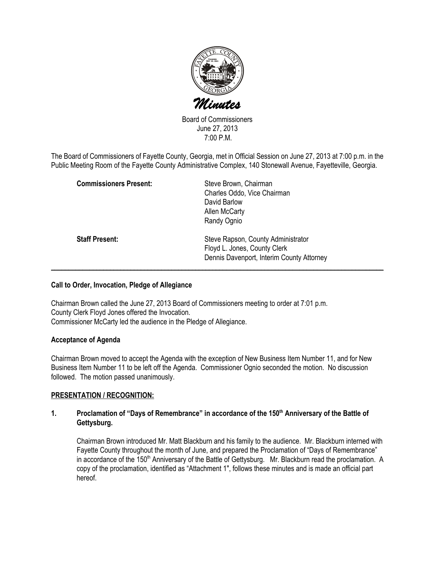

Board of Commissioners June 27, 2013 7:00 P.M.

The Board of Commissioners of Fayette County, Georgia, met in Official Session on June 27, 2013 at 7:00 p.m. in the Public Meeting Room of the Fayette County Administrative Complex, 140 Stonewall Avenue, Fayetteville, Georgia.

| <b>Commissioners Present:</b> | Steve Brown, Chairman<br>Charles Oddo, Vice Chairman<br>David Barlow<br>Allen McCarty                                          |
|-------------------------------|--------------------------------------------------------------------------------------------------------------------------------|
| <b>Staff Present:</b>         | Randy Ognio<br>Steve Rapson, County Administrator<br>Floyd L. Jones, County Clerk<br>Dennis Davenport, Interim County Attorney |

## Call to Order, Invocation, Pledge of Allegiance

Chairman Brown called the June 27, 2013 Board of Commissioners meeting to order at 7:01 p.m. County Clerk Floyd Jones offered the Invocation. Commissioner McCarty led the audience in the Pledge of Allegiance.

### Acceptance of Agenda

Chairman Brown moved to accept the Agenda with the exception of New Business Item Number 11, and for New Business Item Number 11 to be left off the Agenda. Commissioner Ognio seconded the motion. No discussion followed. The motion passed unanimously.

# PRESENTATION / RECOGNITION:

### 1. Proclamation of "Days of Remembrance" in accordance of the 150<sup>th</sup> Anniversary of the Battle of Gettysburg.

Chairman Brown introduced Mr. Matt Blackburn and his family to the audience. Mr. Blackburn interned with Fayette County throughout the month of June, and prepared the Proclamation of "Days of Remembrance" in accordance of the 150<sup>th</sup> Anniversary of the Battle of Gettysburg. Mr. Blackburn read the proclamation. A copy of the proclamation, identified as "Attachment 1", follows these minutes and is made an official part hereof.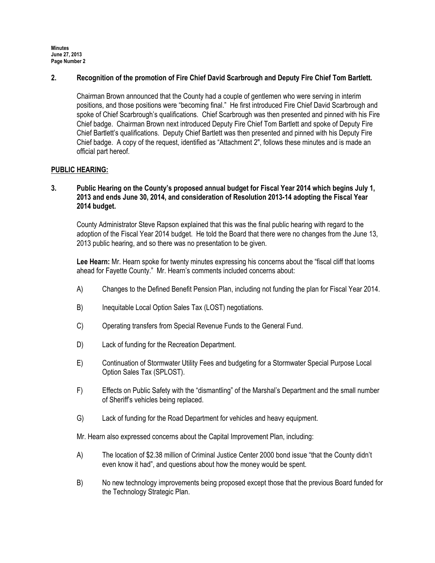### 2. Recognition of the promotion of Fire Chief David Scarbrough and Deputy Fire Chief Tom Bartlett.

Chairman Brown announced that the County had a couple of gentlemen who were serving in interim positions, and those positions were "becoming final." He first introduced Fire Chief David Scarbrough and spoke of Chief Scarbrough's qualifications. Chief Scarbrough was then presented and pinned with his Fire Chief badge. Chairman Brown next introduced Deputy Fire Chief Tom Bartlett and spoke of Deputy Fire Chief Bartlett's qualifications. Deputy Chief Bartlett was then presented and pinned with his Deputy Fire Chief badge. A copy of the request, identified as "Attachment 2", follows these minutes and is made an official part hereof.

### PUBLIC HEARING:

### 3. Public Hearing on the County's proposed annual budget for Fiscal Year 2014 which begins July 1, 2013 and ends June 30, 2014, and consideration of Resolution 2013-14 adopting the Fiscal Year 2014 budget.

County Administrator Steve Rapson explained that this was the final public hearing with regard to the adoption of the Fiscal Year 2014 budget. He told the Board that there were no changes from the June 13, 2013 public hearing, and so there was no presentation to be given.

Lee Hearn: Mr. Hearn spoke for twenty minutes expressing his concerns about the "fiscal cliff that looms ahead for Fayette County." Mr. Hearn's comments included concerns about:

- A) Changes to the Defined Benefit Pension Plan, including not funding the plan for Fiscal Year 2014.
- B) Inequitable Local Option Sales Tax (LOST) negotiations.
- C) Operating transfers from Special Revenue Funds to the General Fund.
- D) Lack of funding for the Recreation Department.
- E) Continuation of Stormwater Utility Fees and budgeting for a Stormwater Special Purpose Local Option Sales Tax (SPLOST).
- F) Effects on Public Safety with the "dismantling" of the Marshal's Department and the small number of Sheriff's vehicles being replaced.
- G) Lack of funding for the Road Department for vehicles and heavy equipment.

Mr. Hearn also expressed concerns about the Capital Improvement Plan, including:

- A) The location of \$2.38 million of Criminal Justice Center 2000 bond issue "that the County didn't even know it had", and questions about how the money would be spent.
- B) No new technology improvements being proposed except those that the previous Board funded for the Technology Strategic Plan.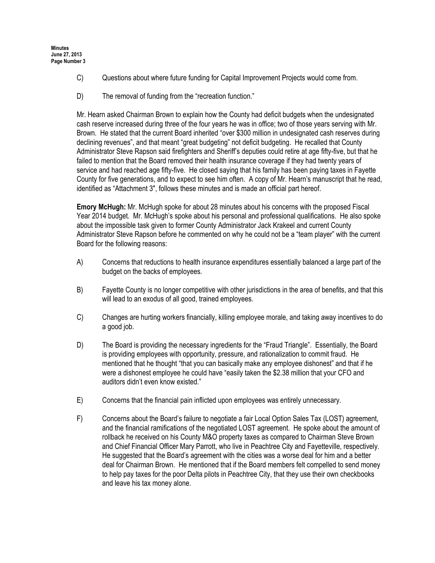- C) Questions about where future funding for Capital Improvement Projects would come from.
- D) The removal of funding from the "recreation function."

Mr. Hearn asked Chairman Brown to explain how the County had deficit budgets when the undesignated cash reserve increased during three of the four years he was in office; two of those years serving with Mr. Brown. He stated that the current Board inherited "over \$300 million in undesignated cash reserves during declining revenues", and that meant "great budgeting" not deficit budgeting. He recalled that County Administrator Steve Rapson said firefighters and Sheriff's deputies could retire at age fifty-five, but that he failed to mention that the Board removed their health insurance coverage if they had twenty years of service and had reached age fifty-five. He closed saying that his family has been paying taxes in Fayette County for five generations, and to expect to see him often. A copy of Mr. Hearn's manuscript that he read, identified as "Attachment 3", follows these minutes and is made an official part hereof.

Emory McHugh: Mr. McHugh spoke for about 28 minutes about his concerns with the proposed Fiscal Year 2014 budget. Mr. McHugh's spoke about his personal and professional qualifications. He also spoke about the impossible task given to former County Administrator Jack Krakeel and current County Administrator Steve Rapson before he commented on why he could not be a "team player" with the current Board for the following reasons:

- A) Concerns that reductions to health insurance expenditures essentially balanced a large part of the budget on the backs of employees.
- B) Fayette County is no longer competitive with other jurisdictions in the area of benefits, and that this will lead to an exodus of all good, trained employees.
- C) Changes are hurting workers financially, killing employee morale, and taking away incentives to do a good job.
- D) The Board is providing the necessary ingredients for the "Fraud Triangle". Essentially, the Board is providing employees with opportunity, pressure, and rationalization to commit fraud. He mentioned that he thought "that you can basically make any employee dishonest" and that if he were a dishonest employee he could have "easily taken the \$2.38 million that your CFO and auditors didn't even know existed."
- E) Concerns that the financial pain inflicted upon employees was entirely unnecessary.
- F) Concerns about the Board's failure to negotiate a fair Local Option Sales Tax (LOST) agreement, and the financial ramifications of the negotiated LOST agreement. He spoke about the amount of rollback he received on his County M&O property taxes as compared to Chairman Steve Brown and Chief Financial Officer Mary Parrott, who live in Peachtree City and Fayetteville, respectively. He suggested that the Board's agreement with the cities was a worse deal for him and a better deal for Chairman Brown. He mentioned that if the Board members felt compelled to send money to help pay taxes for the poor Delta pilots in Peachtree City, that they use their own checkbooks and leave his tax money alone.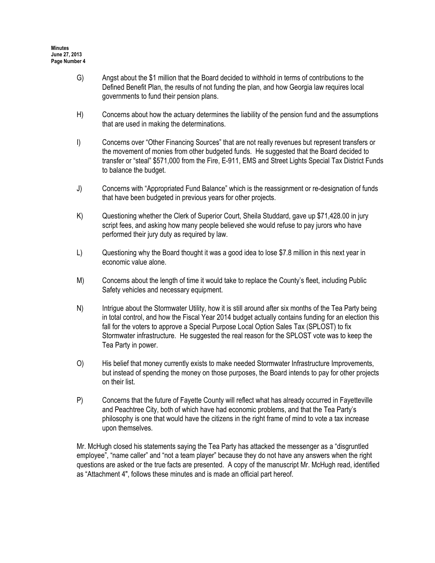- G) Angst about the \$1 million that the Board decided to withhold in terms of contributions to the Defined Benefit Plan, the results of not funding the plan, and how Georgia law requires local governments to fund their pension plans.
- H) Concerns about how the actuary determines the liability of the pension fund and the assumptions that are used in making the determinations.
- I) Concerns over "Other Financing Sources" that are not really revenues but represent transfers or the movement of monies from other budgeted funds. He suggested that the Board decided to transfer or "steal" \$571,000 from the Fire, E-911, EMS and Street Lights Special Tax District Funds to balance the budget.
- J) Concerns with "Appropriated Fund Balance" which is the reassignment or re-designation of funds that have been budgeted in previous years for other projects.
- K) Questioning whether the Clerk of Superior Court, Sheila Studdard, gave up \$71,428.00 in jury script fees, and asking how many people believed she would refuse to pay jurors who have performed their jury duty as required by law.
- L) Questioning why the Board thought it was a good idea to lose \$7.8 million in this next year in economic value alone.
- M) Concerns about the length of time it would take to replace the County's fleet, including Public Safety vehicles and necessary equipment.
- N) Intrigue about the Stormwater Utility, how it is still around after six months of the Tea Party being in total control, and how the Fiscal Year 2014 budget actually contains funding for an election this fall for the voters to approve a Special Purpose Local Option Sales Tax (SPLOST) to fix Stormwater infrastructure. He suggested the real reason for the SPLOST vote was to keep the Tea Party in power.
- O) His belief that money currently exists to make needed Stormwater Infrastructure Improvements, but instead of spending the money on those purposes, the Board intends to pay for other projects on their list.
- P) Concerns that the future of Fayette County will reflect what has already occurred in Fayetteville and Peachtree City, both of which have had economic problems, and that the Tea Party's philosophy is one that would have the citizens in the right frame of mind to vote a tax increase upon themselves.

Mr. McHugh closed his statements saying the Tea Party has attacked the messenger as a "disgruntled employee", "name caller" and "not a team player" because they do not have any answers when the right questions are asked or the true facts are presented. A copy of the manuscript Mr. McHugh read, identified as "Attachment 4", follows these minutes and is made an official part hereof.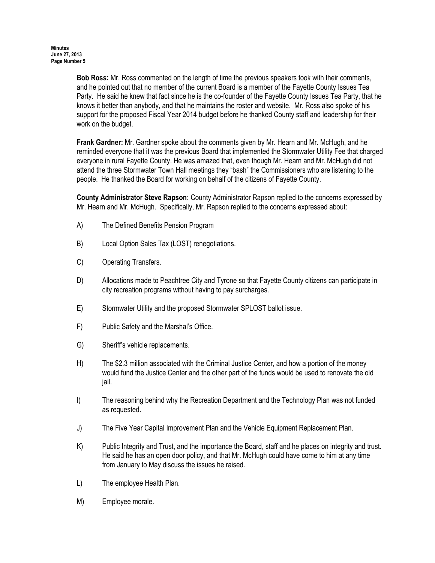Bob Ross: Mr. Ross commented on the length of time the previous speakers took with their comments, and he pointed out that no member of the current Board is a member of the Fayette County Issues Tea Party. He said he knew that fact since he is the co-founder of the Fayette County Issues Tea Party, that he knows it better than anybody, and that he maintains the roster and website. Mr. Ross also spoke of his support for the proposed Fiscal Year 2014 budget before he thanked County staff and leadership for their work on the budget.

Frank Gardner: Mr. Gardner spoke about the comments given by Mr. Hearn and Mr. McHugh, and he reminded everyone that it was the previous Board that implemented the Stormwater Utility Fee that charged everyone in rural Fayette County. He was amazed that, even though Mr. Hearn and Mr. McHugh did not attend the three Stormwater Town Hall meetings they "bash" the Commissioners who are listening to the people. He thanked the Board for working on behalf of the citizens of Fayette County.

County Administrator Steve Rapson: County Administrator Rapson replied to the concerns expressed by Mr. Hearn and Mr. McHugh. Specifically, Mr. Rapson replied to the concerns expressed about:

- A) The Defined Benefits Pension Program
- B) Local Option Sales Tax (LOST) renegotiations.
- C) Operating Transfers.
- D) Allocations made to Peachtree City and Tyrone so that Fayette County citizens can participate in city recreation programs without having to pay surcharges.
- E) Stormwater Utility and the proposed Stormwater SPLOST ballot issue.
- F) Public Safety and the Marshal's Office.
- G) Sheriff's vehicle replacements.
- H) The \$2.3 million associated with the Criminal Justice Center, and how a portion of the money would fund the Justice Center and the other part of the funds would be used to renovate the old jail.
- I) The reasoning behind why the Recreation Department and the Technology Plan was not funded as requested.
- J) The Five Year Capital Improvement Plan and the Vehicle Equipment Replacement Plan.
- K) Public Integrity and Trust, and the importance the Board, staff and he places on integrity and trust. He said he has an open door policy, and that Mr. McHugh could have come to him at any time from January to May discuss the issues he raised.
- L) The employee Health Plan.
- M) Employee morale.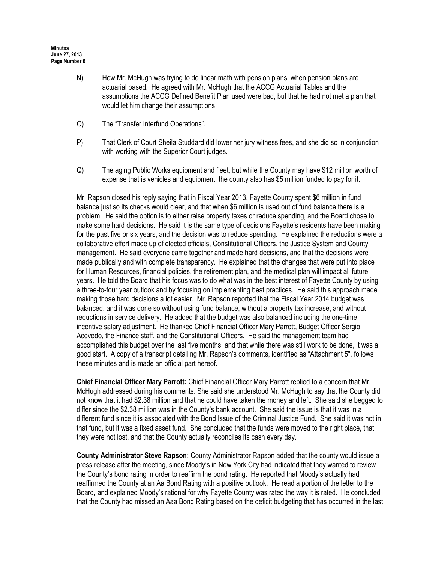- N) How Mr. McHugh was trying to do linear math with pension plans, when pension plans are actuarial based. He agreed with Mr. McHugh that the ACCG Actuarial Tables and the assumptions the ACCG Defined Benefit Plan used were bad, but that he had not met a plan that would let him change their assumptions.
- O) The "Transfer Interfund Operations".
- P) That Clerk of Court Sheila Studdard did lower her jury witness fees, and she did so in conjunction with working with the Superior Court judges.
- Q) The aging Public Works equipment and fleet, but while the County may have \$12 million worth of expense that is vehicles and equipment, the county also has \$5 million funded to pay for it.

Mr. Rapson closed his reply saying that in Fiscal Year 2013, Fayette County spent \$6 million in fund balance just so its checks would clear, and that when \$6 million is used out of fund balance there is a problem. He said the option is to either raise property taxes or reduce spending, and the Board chose to make some hard decisions. He said it is the same type of decisions Fayette's residents have been making for the past five or six years, and the decision was to reduce spending. He explained the reductions were a collaborative effort made up of elected officials, Constitutional Officers, the Justice System and County management. He said everyone came together and made hard decisions, and that the decisions were made publically and with complete transparency. He explained that the changes that were put into place for Human Resources, financial policies, the retirement plan, and the medical plan will impact all future years. He told the Board that his focus was to do what was in the best interest of Fayette County by using a three-to-four year outlook and by focusing on implementing best practices. He said this approach made making those hard decisions a lot easier. Mr. Rapson reported that the Fiscal Year 2014 budget was balanced, and it was done so without using fund balance, without a property tax increase, and without reductions in service delivery. He added that the budget was also balanced including the one-time incentive salary adjustment. He thanked Chief Financial Officer Mary Parrott, Budget Officer Sergio Acevedo, the Finance staff, and the Constitutional Officers. He said the management team had accomplished this budget over the last five months, and that while there was still work to be done, it was a good start. A copy of a transcript detailing Mr. Rapson's comments, identified as "Attachment 5", follows these minutes and is made an official part hereof.

Chief Financial Officer Mary Parrott: Chief Financial Officer Mary Parrott replied to a concern that Mr. McHugh addressed during his comments. She said she understood Mr. McHugh to say that the County did not know that it had \$2.38 million and that he could have taken the money and left. She said she begged to differ since the \$2.38 million was in the County's bank account. She said the issue is that it was in a different fund since it is associated with the Bond Issue of the Criminal Justice Fund. She said it was not in that fund, but it was a fixed asset fund. She concluded that the funds were moved to the right place, that they were not lost, and that the County actually reconciles its cash every day.

County Administrator Steve Rapson: County Administrator Rapson added that the county would issue a press release after the meeting, since Moody's in New York City had indicated that they wanted to review the County's bond rating in order to reaffirm the bond rating. He reported that Moody's actually had reaffirmed the County at an Aa Bond Rating with a positive outlook. He read a portion of the letter to the Board, and explained Moody's rational for why Fayette County was rated the way it is rated. He concluded that the County had missed an Aaa Bond Rating based on the deficit budgeting that has occurred in the last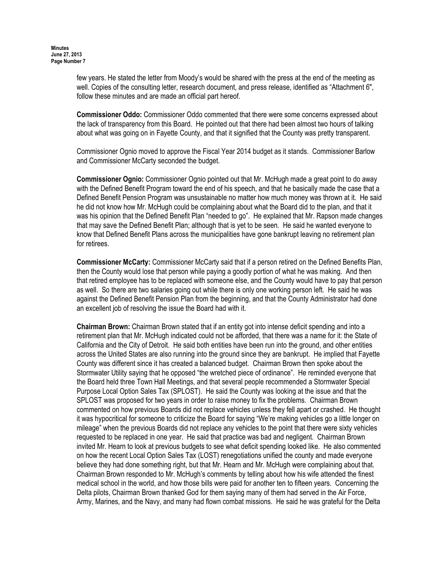few years. He stated the letter from Moody's would be shared with the press at the end of the meeting as well. Copies of the consulting letter, research document, and press release, identified as "Attachment 6", follow these minutes and are made an official part hereof.

Commissioner Oddo: Commissioner Oddo commented that there were some concerns expressed about the lack of transparency from this Board. He pointed out that there had been almost two hours of talking about what was going on in Fayette County, and that it signified that the County was pretty transparent.

Commissioner Ognio moved to approve the Fiscal Year 2014 budget as it stands. Commissioner Barlow and Commissioner McCarty seconded the budget.

Commissioner Ognio: Commissioner Ognio pointed out that Mr. McHugh made a great point to do away with the Defined Benefit Program toward the end of his speech, and that he basically made the case that a Defined Benefit Pension Program was unsustainable no matter how much money was thrown at it. He said he did not know how Mr. McHugh could be complaining about what the Board did to the plan, and that it was his opinion that the Defined Benefit Plan "needed to go". He explained that Mr. Rapson made changes that may save the Defined Benefit Plan; although that is yet to be seen. He said he wanted everyone to know that Defined Benefit Plans across the municipalities have gone bankrupt leaving no retirement plan for retirees.

Commissioner McCarty: Commissioner McCarty said that if a person retired on the Defined Benefits Plan, then the County would lose that person while paying a goodly portion of what he was making. And then that retired employee has to be replaced with someone else, and the County would have to pay that person as well. So there are two salaries going out while there is only one working person left. He said he was against the Defined Benefit Pension Plan from the beginning, and that the County Administrator had done an excellent job of resolving the issue the Board had with it.

Chairman Brown: Chairman Brown stated that if an entity got into intense deficit spending and into a retirement plan that Mr. McHugh indicated could not be afforded, that there was a name for it: the State of California and the City of Detroit. He said both entities have been run into the ground, and other entities across the United States are also running into the ground since they are bankrupt. He implied that Fayette County was different since it has created a balanced budget. Chairman Brown then spoke about the Stormwater Utility saying that he opposed "the wretched piece of ordinance". He reminded everyone that the Board held three Town Hall Meetings, and that several people recommended a Stormwater Special Purpose Local Option Sales Tax (SPLOST). He said the County was looking at the issue and that the SPLOST was proposed for two years in order to raise money to fix the problems. Chairman Brown commented on how previous Boards did not replace vehicles unless they fell apart or crashed. He thought it was hypocritical for someone to criticize the Board for saying "We're making vehicles go a little longer on mileage" when the previous Boards did not replace any vehicles to the point that there were sixty vehicles requested to be replaced in one year. He said that practice was bad and negligent. Chairman Brown invited Mr. Hearn to look at previous budgets to see what deficit spending looked like. He also commented on how the recent Local Option Sales Tax (LOST) renegotiations unified the county and made everyone believe they had done something right, but that Mr. Hearn and Mr. McHugh were complaining about that. Chairman Brown responded to Mr. McHugh's comments by telling about how his wife attended the finest medical school in the world, and how those bills were paid for another ten to fifteen years. Concerning the Delta pilots, Chairman Brown thanked God for them saying many of them had served in the Air Force, Army, Marines, and the Navy, and many had flown combat missions. He said he was grateful for the Delta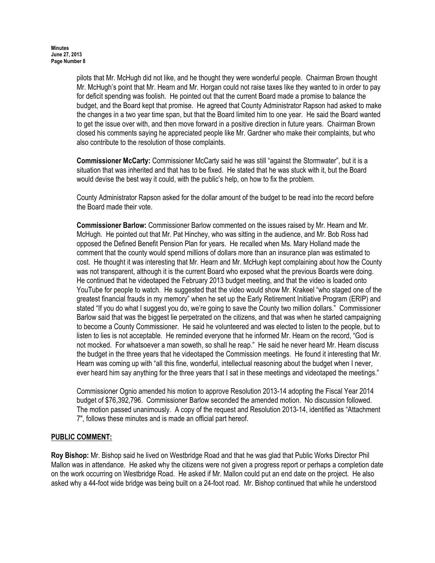pilots that Mr. McHugh did not like, and he thought they were wonderful people. Chairman Brown thought Mr. McHugh's point that Mr. Hearn and Mr. Horgan could not raise taxes like they wanted to in order to pay for deficit spending was foolish. He pointed out that the current Board made a promise to balance the budget, and the Board kept that promise. He agreed that County Administrator Rapson had asked to make the changes in a two year time span, but that the Board limited him to one year. He said the Board wanted to get the issue over with, and then move forward in a positive direction in future years. Chairman Brown closed his comments saying he appreciated people like Mr. Gardner who make their complaints, but who also contribute to the resolution of those complaints.

Commissioner McCarty: Commissioner McCarty said he was still "against the Stormwater", but it is a situation that was inherited and that has to be fixed. He stated that he was stuck with it, but the Board would devise the best way it could, with the public's help, on how to fix the problem.

County Administrator Rapson asked for the dollar amount of the budget to be read into the record before the Board made their vote.

Commissioner Barlow: Commissioner Barlow commented on the issues raised by Mr. Hearn and Mr. McHugh. He pointed out that Mr. Pat Hinchey, who was sitting in the audience, and Mr. Bob Ross had opposed the Defined Benefit Pension Plan for years. He recalled when Ms. Mary Holland made the comment that the county would spend millions of dollars more than an insurance plan was estimated to cost. He thought it was interesting that Mr. Hearn and Mr. McHugh kept complaining about how the County was not transparent, although it is the current Board who exposed what the previous Boards were doing. He continued that he videotaped the February 2013 budget meeting, and that the video is loaded onto YouTube for people to watch. He suggested that the video would show Mr. Krakeel "who staged one of the greatest financial frauds in my memory" when he set up the Early Retirement Initiative Program (ERIP) and stated "If you do what I suggest you do, we're going to save the County two million dollars." Commissioner Barlow said that was the biggest lie perpetrated on the citizens, and that was when he started campaigning to become a County Commissioner. He said he volunteered and was elected to listen to the people, but to listen to lies is not acceptable. He reminded everyone that he informed Mr. Hearn on the record, "God is not mocked. For whatsoever a man soweth, so shall he reap." He said he never heard Mr. Hearn discuss the budget in the three years that he videotaped the Commission meetings. He found it interesting that Mr. Hearn was coming up with "all this fine, wonderful, intellectual reasoning about the budget when I never, ever heard him say anything for the three years that I sat in these meetings and videotaped the meetings."

Commissioner Ognio amended his motion to approve Resolution 2013-14 adopting the Fiscal Year 2014 budget of \$76,392,796. Commissioner Barlow seconded the amended motion. No discussion followed. The motion passed unanimously. A copy of the request and Resolution 2013-14, identified as "Attachment 7", follows these minutes and is made an official part hereof.

# PUBLIC COMMENT:

Roy Bishop: Mr. Bishop said he lived on Westbridge Road and that he was glad that Public Works Director Phil Mallon was in attendance. He asked why the citizens were not given a progress report or perhaps a completion date on the work occurring on Westbridge Road. He asked if Mr. Mallon could put an end date on the project. He also asked why a 44-foot wide bridge was being built on a 24-foot road. Mr. Bishop continued that while he understood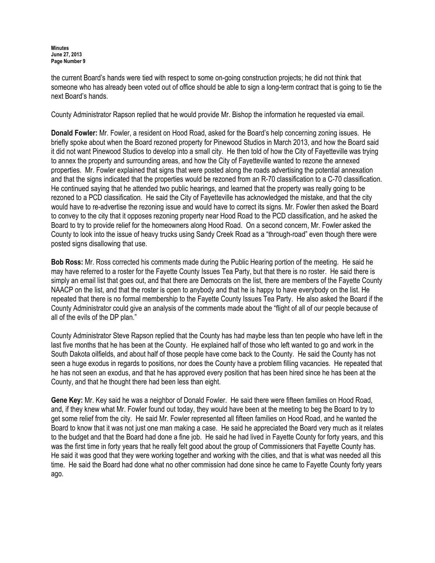the current Board's hands were tied with respect to some on-going construction projects; he did not think that someone who has already been voted out of office should be able to sign a long-term contract that is going to tie the next Board's hands.

County Administrator Rapson replied that he would provide Mr. Bishop the information he requested via email.

Donald Fowler: Mr. Fowler, a resident on Hood Road, asked for the Board's help concerning zoning issues. He briefly spoke about when the Board rezoned property for Pinewood Studios in March 2013, and how the Board said it did not want Pinewood Studios to develop into a small city. He then told of how the City of Fayetteville was trying to annex the property and surrounding areas, and how the City of Fayetteville wanted to rezone the annexed properties. Mr. Fowler explained that signs that were posted along the roads advertising the potential annexation and that the signs indicated that the properties would be rezoned from an R-70 classification to a C-70 classification. He continued saying that he attended two public hearings, and learned that the property was really going to be rezoned to a PCD classification. He said the City of Fayetteville has acknowledged the mistake, and that the city would have to re-advertise the rezoning issue and would have to correct its signs. Mr. Fowler then asked the Board to convey to the city that it opposes rezoning property near Hood Road to the PCD classification, and he asked the Board to try to provide relief for the homeowners along Hood Road. On a second concern, Mr. Fowler asked the County to look into the issue of heavy trucks using Sandy Creek Road as a "through-road" even though there were posted signs disallowing that use.

Bob Ross: Mr. Ross corrected his comments made during the Public Hearing portion of the meeting. He said he may have referred to a roster for the Fayette County Issues Tea Party, but that there is no roster. He said there is simply an email list that goes out, and that there are Democrats on the list, there are members of the Fayette County NAACP on the list, and that the roster is open to anybody and that he is happy to have everybody on the list. He repeated that there is no formal membership to the Fayette County Issues Tea Party. He also asked the Board if the County Administrator could give an analysis of the comments made about the "flight of all of our people because of all of the evils of the DP plan."

County Administrator Steve Rapson replied that the County has had maybe less than ten people who have left in the last five months that he has been at the County. He explained half of those who left wanted to go and work in the South Dakota oilfields, and about half of those people have come back to the County. He said the County has not seen a huge exodus in regards to positions, nor does the County have a problem filling vacancies. He repeated that he has not seen an exodus, and that he has approved every position that has been hired since he has been at the County, and that he thought there had been less than eight.

Gene Key: Mr. Key said he was a neighbor of Donald Fowler. He said there were fifteen families on Hood Road, and, if they knew what Mr. Fowler found out today, they would have been at the meeting to beg the Board to try to get some relief from the city. He said Mr. Fowler represented all fifteen families on Hood Road, and he wanted the Board to know that it was not just one man making a case. He said he appreciated the Board very much as it relates to the budget and that the Board had done a fine job. He said he had lived in Fayette County for forty years, and this was the first time in forty years that he really felt good about the group of Commissioners that Fayette County has. He said it was good that they were working together and working with the cities, and that is what was needed all this time. He said the Board had done what no other commission had done since he came to Fayette County forty years ago.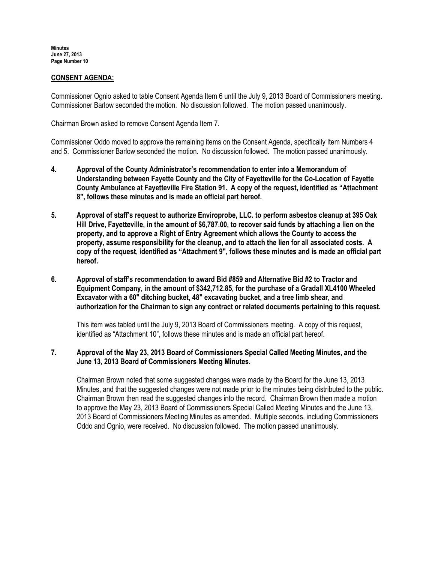## CONSENT AGENDA:

Commissioner Ognio asked to table Consent Agenda Item 6 until the July 9, 2013 Board of Commissioners meeting. Commissioner Barlow seconded the motion. No discussion followed. The motion passed unanimously.

Chairman Brown asked to remove Consent Agenda Item 7.

Commissioner Oddo moved to approve the remaining items on the Consent Agenda, specifically Item Numbers 4 and 5. Commissioner Barlow seconded the motion. No discussion followed. The motion passed unanimously.

- 4. Approval of the County Administrator's recommendation to enter into a Memorandum of Understanding between Fayette County and the City of Fayetteville for the Co-Location of Fayette County Ambulance at Fayetteville Fire Station 91. A copy of the request, identified as "Attachment 8", follows these minutes and is made an official part hereof.
- 5. Approval of staff's request to authorize Enviroprobe, LLC. to perform asbestos cleanup at 395 Oak Hill Drive, Fayetteville, in the amount of \$6,787.00, to recover said funds by attaching a lien on the property, and to approve a Right of Entry Agreement which allows the County to access the property, assume responsibility for the cleanup, and to attach the lien for all associated costs. A copy of the request, identified as "Attachment 9", follows these minutes and is made an official part hereof.
- 6. Approval of staff's recommendation to award Bid #859 and Alternative Bid #2 to Tractor and Equipment Company, in the amount of \$342,712.85, for the purchase of a Gradall XL4100 Wheeled Excavator with a 60" ditching bucket, 48" excavating bucket, and a tree limb shear, and authorization for the Chairman to sign any contract or related documents pertaining to this request.

This item was tabled until the July 9, 2013 Board of Commissioners meeting. A copy of this request, identified as "Attachment 10", follows these minutes and is made an official part hereof.

### 7. Approval of the May 23, 2013 Board of Commissioners Special Called Meeting Minutes, and the June 13, 2013 Board of Commissioners Meeting Minutes.

Chairman Brown noted that some suggested changes were made by the Board for the June 13, 2013 Minutes, and that the suggested changes were not made prior to the minutes being distributed to the public. Chairman Brown then read the suggested changes into the record. Chairman Brown then made a motion to approve the May 23, 2013 Board of Commissioners Special Called Meeting Minutes and the June 13, 2013 Board of Commissioners Meeting Minutes as amended. Multiple seconds, including Commissioners Oddo and Ognio, were received. No discussion followed. The motion passed unanimously.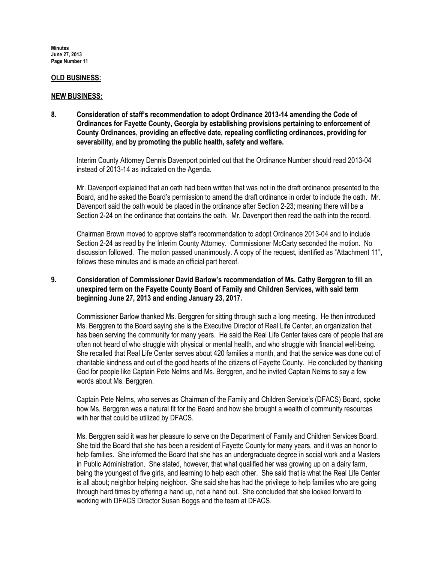#### OLD BUSINESS:

#### NEW BUSINESS:

8. Consideration of staff's recommendation to adopt Ordinance 2013-14 amending the Code of Ordinances for Fayette County, Georgia by establishing provisions pertaining to enforcement of County Ordinances, providing an effective date, repealing conflicting ordinances, providing for severability, and by promoting the public health, safety and welfare.

Interim County Attorney Dennis Davenport pointed out that the Ordinance Number should read 2013-04 instead of 2013-14 as indicated on the Agenda.

Mr. Davenport explained that an oath had been written that was not in the draft ordinance presented to the Board, and he asked the Board's permission to amend the draft ordinance in order to include the oath. Mr. Davenport said the oath would be placed in the ordinance after Section 2-23; meaning there will be a Section 2-24 on the ordinance that contains the oath. Mr. Davenport then read the oath into the record.

Chairman Brown moved to approve staff's recommendation to adopt Ordinance 2013-04 and to include Section 2-24 as read by the Interim County Attorney. Commissioner McCarty seconded the motion. No discussion followed. The motion passed unanimously. A copy of the request, identified as "Attachment 11", follows these minutes and is made an official part hereof.

## 9. Consideration of Commissioner David Barlow's recommendation of Ms. Cathy Berggren to fill an unexpired term on the Fayette County Board of Family and Children Services, with said term beginning June 27, 2013 and ending January 23, 2017.

Commissioner Barlow thanked Ms. Berggren for sitting through such a long meeting. He then introduced Ms. Berggren to the Board saying she is the Executive Director of Real Life Center, an organization that has been serving the community for many years. He said the Real Life Center takes care of people that are often not heard of who struggle with physical or mental health, and who struggle with financial well-being. She recalled that Real Life Center serves about 420 families a month, and that the service was done out of charitable kindness and out of the good hearts of the citizens of Fayette County. He concluded by thanking God for people like Captain Pete Nelms and Ms. Berggren, and he invited Captain Nelms to say a few words about Ms. Berggren.

Captain Pete Nelms, who serves as Chairman of the Family and Children Service's (DFACS) Board, spoke how Ms. Berggren was a natural fit for the Board and how she brought a wealth of community resources with her that could be utilized by DFACS.

Ms. Berggren said it was her pleasure to serve on the Department of Family and Children Services Board. She told the Board that she has been a resident of Fayette County for many years, and it was an honor to help families. She informed the Board that she has an undergraduate degree in social work and a Masters in Public Administration. She stated, however, that what qualified her was growing up on a dairy farm, being the youngest of five girls, and learning to help each other. She said that is what the Real Life Center is all about; neighbor helping neighbor. She said she has had the privilege to help families who are going through hard times by offering a hand up, not a hand out. She concluded that she looked forward to working with DFACS Director Susan Boggs and the team at DFACS.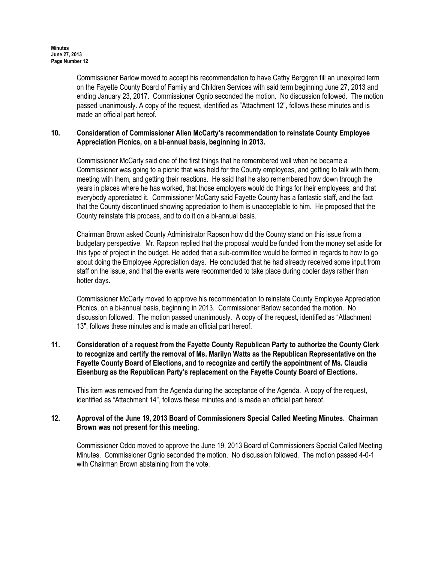Commissioner Barlow moved to accept his recommendation to have Cathy Berggren fill an unexpired term on the Fayette County Board of Family and Children Services with said term beginning June 27, 2013 and ending January 23, 2017. Commissioner Ognio seconded the motion. No discussion followed. The motion passed unanimously. A copy of the request, identified as "Attachment 12", follows these minutes and is made an official part hereof.

### 10. Consideration of Commissioner Allen McCarty's recommendation to reinstate County Employee Appreciation Picnics, on a bi-annual basis, beginning in 2013.

Commissioner McCarty said one of the first things that he remembered well when he became a Commissioner was going to a picnic that was held for the County employees, and getting to talk with them, meeting with them, and getting their reactions. He said that he also remembered how down through the years in places where he has worked, that those employers would do things for their employees; and that everybody appreciated it. Commissioner McCarty said Fayette County has a fantastic staff, and the fact that the County discontinued showing appreciation to them is unacceptable to him. He proposed that the County reinstate this process, and to do it on a bi-annual basis.

Chairman Brown asked County Administrator Rapson how did the County stand on this issue from a budgetary perspective. Mr. Rapson replied that the proposal would be funded from the money set aside for this type of project in the budget. He added that a sub-committee would be formed in regards to how to go about doing the Employee Appreciation days. He concluded that he had already received some input from staff on the issue, and that the events were recommended to take place during cooler days rather than hotter days.

Commissioner McCarty moved to approve his recommendation to reinstate County Employee Appreciation Picnics, on a bi-annual basis, beginning in 2013. Commissioner Barlow seconded the motion. No discussion followed. The motion passed unanimously. A copy of the request, identified as "Attachment 13", follows these minutes and is made an official part hereof.

### 11. Consideration of a request from the Fayette County Republican Party to authorize the County Clerk to recognize and certify the removal of Ms. Marilyn Watts as the Republican Representative on the Fayette County Board of Elections, and to recognize and certify the appointment of Ms. Claudia Eisenburg as the Republican Party's replacement on the Fayette County Board of Elections.

This item was removed from the Agenda during the acceptance of the Agenda. A copy of the request, identified as "Attachment 14", follows these minutes and is made an official part hereof.

### 12. Approval of the June 19, 2013 Board of Commissioners Special Called Meeting Minutes. Chairman Brown was not present for this meeting.

Commissioner Oddo moved to approve the June 19, 2013 Board of Commissioners Special Called Meeting Minutes. Commissioner Ognio seconded the motion. No discussion followed. The motion passed 4-0-1 with Chairman Brown abstaining from the vote.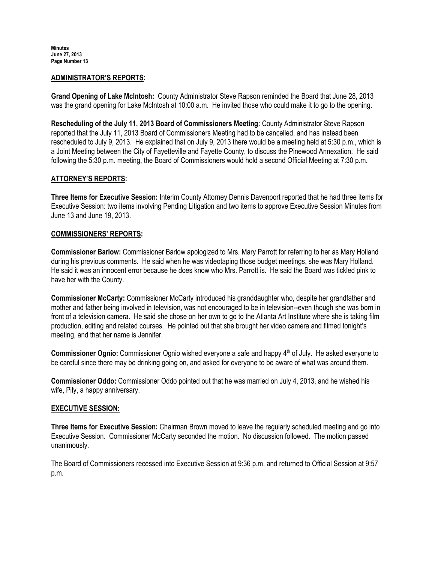### ADMINISTRATOR'S REPORTS:

Grand Opening of Lake McIntosh: County Administrator Steve Rapson reminded the Board that June 28, 2013 was the grand opening for Lake McIntosh at 10:00 a.m. He invited those who could make it to go to the opening.

Rescheduling of the July 11, 2013 Board of Commissioners Meeting: County Administrator Steve Rapson reported that the July 11, 2013 Board of Commissioners Meeting had to be cancelled, and has instead been rescheduled to July 9, 2013. He explained that on July 9, 2013 there would be a meeting held at 5:30 p.m., which is a Joint Meeting between the City of Fayetteville and Fayette County, to discuss the Pinewood Annexation. He said following the 5:30 p.m. meeting, the Board of Commissioners would hold a second Official Meeting at 7:30 p.m.

# ATTORNEY'S REPORTS:

Three Items for Executive Session: Interim County Attorney Dennis Davenport reported that he had three items for Executive Session: two items involving Pending Litigation and two items to approve Executive Session Minutes from June 13 and June 19, 2013.

### COMMISSIONERS' REPORTS:

Commissioner Barlow: Commissioner Barlow apologized to Mrs. Mary Parrott for referring to her as Mary Holland during his previous comments. He said when he was videotaping those budget meetings, she was Mary Holland. He said it was an innocent error because he does know who Mrs. Parrott is. He said the Board was tickled pink to have her with the County.

Commissioner McCarty: Commissioner McCarty introduced his granddaughter who, despite her grandfather and mother and father being involved in television, was not encouraged to be in television--even though she was born in front of a television camera. He said she chose on her own to go to the Atlanta Art Institute where she is taking film production, editing and related courses. He pointed out that she brought her video camera and filmed tonight's meeting, and that her name is Jennifer.

**Commissioner Ognio:** Commissioner Ognio wished everyone a safe and happy  $4<sup>th</sup>$  of July. He asked everyone to be careful since there may be drinking going on, and asked for everyone to be aware of what was around them.

Commissioner Oddo: Commissioner Oddo pointed out that he was married on July 4, 2013, and he wished his wife, Pily, a happy anniversary.

### EXECUTIVE SESSION:

Three Items for Executive Session: Chairman Brown moved to leave the regularly scheduled meeting and go into Executive Session. Commissioner McCarty seconded the motion. No discussion followed. The motion passed unanimously.

The Board of Commissioners recessed into Executive Session at 9:36 p.m. and returned to Official Session at 9:57 p.m.